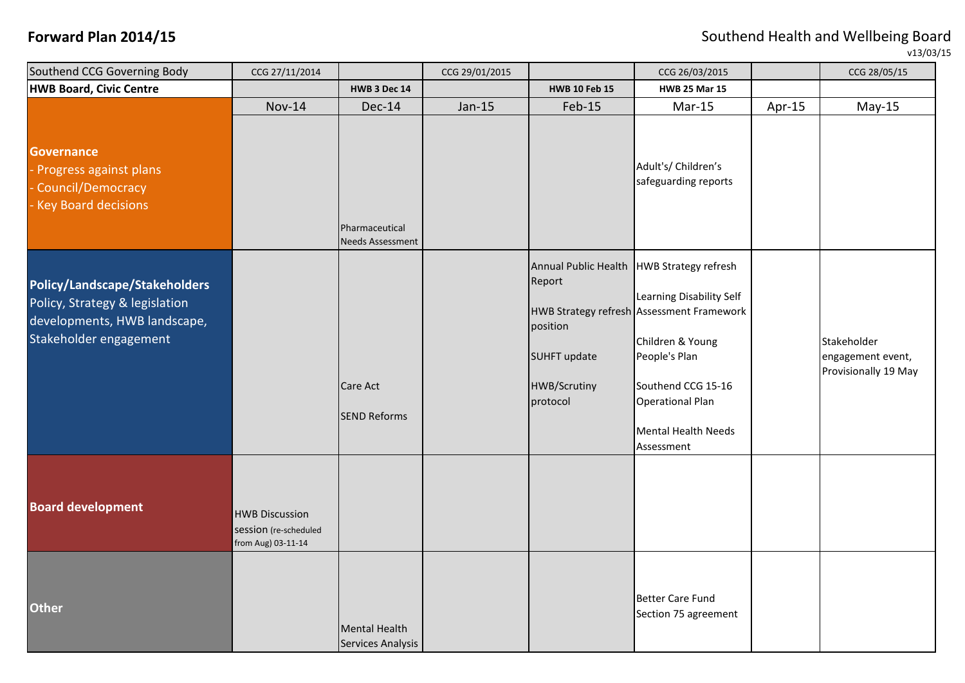| Southend CCG Governing Body                                                                                               | CCG 27/11/2014                                                       |                                           | CCG 29/01/2015 |                                                                              | CCG 26/03/2015                                                                                                                                                                                                                                         |        | CCG 28/05/15                                             |
|---------------------------------------------------------------------------------------------------------------------------|----------------------------------------------------------------------|-------------------------------------------|----------------|------------------------------------------------------------------------------|--------------------------------------------------------------------------------------------------------------------------------------------------------------------------------------------------------------------------------------------------------|--------|----------------------------------------------------------|
| HWB Board, Civic Centre                                                                                                   |                                                                      | <b>HWB 3 Dec 14</b>                       |                | <b>HWB 10 Feb 15</b>                                                         | <b>HWB 25 Mar 15</b>                                                                                                                                                                                                                                   |        |                                                          |
|                                                                                                                           | <b>Nov-14</b>                                                        | Dec-14                                    | Jan-15         | Feb-15                                                                       | Mar-15                                                                                                                                                                                                                                                 | Apr-15 | $May-15$                                                 |
| <b>Governance</b><br>- Progress against plans<br>- Council/Democracy<br>- Key Board decisions                             |                                                                      | Pharmaceutical<br><b>Needs Assessment</b> |                |                                                                              | Adult's/ Children's<br>safeguarding reports                                                                                                                                                                                                            |        |                                                          |
| Policy/Landscape/Stakeholders<br>Policy, Strategy & legislation<br>developments, HWB landscape,<br>Stakeholder engagement |                                                                      | <b>Care Act</b><br><b>SEND Reforms</b>    |                | Report<br>position<br><b>SUHFT update</b><br><b>HWB/Scrutiny</b><br>protocol | Annual Public Health   HWB Strategy refresh<br>Learning Disability Self<br>HWB Strategy refresh Assessment Framework<br>Children & Young<br>People's Plan<br>Southend CCG 15-16<br><b>Operational Plan</b><br><b>Mental Health Needs</b><br>Assessment |        | Stakeholder<br>engagement event,<br>Provisionally 19 May |
| <b>Board development</b>                                                                                                  | <b>HWB Discussion</b><br>session (re-scheduled<br>from Aug) 03-11-14 |                                           |                |                                                                              |                                                                                                                                                                                                                                                        |        |                                                          |
| Other                                                                                                                     |                                                                      | <b>Mental Health</b><br>Services Analysis |                |                                                                              | Better Care Fund<br>Section 75 agreement                                                                                                                                                                                                               |        |                                                          |